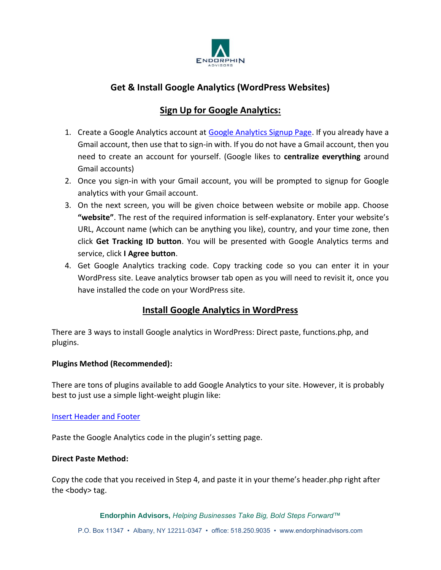

## **Get & Install Google Analytics (WordPress Websites)**

# **Sign Up for Google Analytics:**

- 1. Create a Google Analytics account at [Google Analytics Signup Page.](http://www.google.com/analytics/sign_up.html) If you already have a Gmail account, then use that to sign-in with. If you do not have a Gmail account, then you need to create an account for yourself. (Google likes to **centralize everything** around Gmail accounts)
- 2. Once you sign-in with your Gmail account, you will be prompted to signup for Google analytics with your Gmail account.
- 3. On the next screen, you will be given choice between website or mobile app. Choose **"website"**. The rest of the required information is self-explanatory. Enter your website's URL, Account name (which can be anything you like), country, and your time zone, then click **Get Tracking ID button**. You will be presented with Google Analytics terms and service, click **I Agree button**.
- 4. Get Google Analytics tracking code. Copy tracking code so you can enter it in your WordPress site. Leave analytics browser tab open as you will need to revisit it, once you have installed the code on your WordPress site.

## **Install Google Analytics in WordPress**

There are 3 ways to install Google analytics in WordPress: Direct paste, functions.php, and plugins.

### **Plugins Method (Recommended):**

There are tons of plugins available to add Google Analytics to your site. However, it is probably best to just use a simple light-weight plugin like:

### [Insert Header and Footer](http://wordpress.org/extend/plugins/insert-headers-and-footers/)

Paste the Google Analytics code in the plugin's setting page.

### **Direct Paste Method:**

Copy the code that you received in Step 4, and paste it in your theme's header.php right after the <body> tag.

**Endorphin Advisors,** *Helping Businesses Take Big, Bold Steps Forward™*